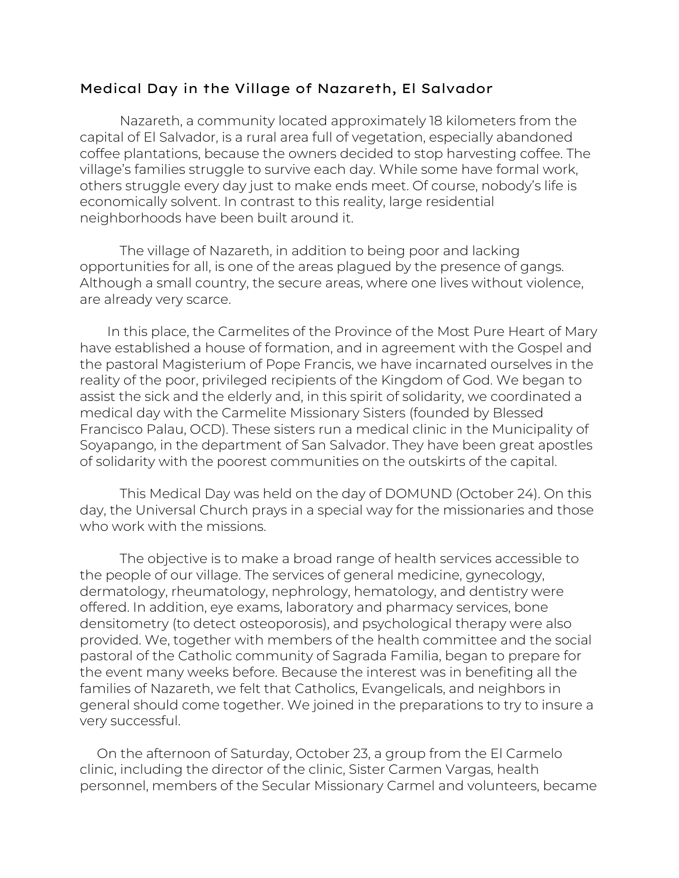## Medical Day in the Village of Nazareth, El Salvador

Nazareth, a community located approximately 18 kilometers from the capital of El Salvador, is a rural area full of vegetation, especially abandoned coffee plantations, because the owners decided to stop harvesting coffee. The village's families struggle to survive each day. While some have formal work, others struggle every day just to make ends meet. Of course, nobody's life is economically solvent. In contrast to this reality, large residential neighborhoods have been built around it.

The village of Nazareth, in addition to being poor and lacking opportunities for all, is one of the areas plagued by the presence of gangs. Although a small country, the secure areas, where one lives without violence, are already very scarce.

 In this place, the Carmelites of the Province of the Most Pure Heart of Mary have established a house of formation, and in agreement with the Gospel and the pastoral Magisterium of Pope Francis, we have incarnated ourselves in the reality of the poor, privileged recipients of the Kingdom of God. We began to assist the sick and the elderly and, in this spirit of solidarity, we coordinated a medical day with the Carmelite Missionary Sisters (founded by Blessed Francisco Palau, OCD). These sisters run a medical clinic in the Municipality of Soyapango, in the department of San Salvador. They have been great apostles of solidarity with the poorest communities on the outskirts of the capital.

This Medical Day was held on the day of DOMUND (October 24). On this day, the Universal Church prays in a special way for the missionaries and those who work with the missions.

The objective is to make a broad range of health services accessible to the people of our village. The services of general medicine, gynecology, dermatology, rheumatology, nephrology, hematology, and dentistry were offered. In addition, eye exams, laboratory and pharmacy services, bone densitometry (to detect osteoporosis), and psychological therapy were also provided. We, together with members of the health committee and the social pastoral of the Catholic community of Sagrada Familia, began to prepare for the event many weeks before. Because the interest was in benefiting all the families of Nazareth, we felt that Catholics, Evangelicals, and neighbors in general should come together. We joined in the preparations to try to insure a very successful.

 On the afternoon of Saturday, October 23, a group from the El Carmelo clinic, including the director of the clinic, Sister Carmen Vargas, health personnel, members of the Secular Missionary Carmel and volunteers, became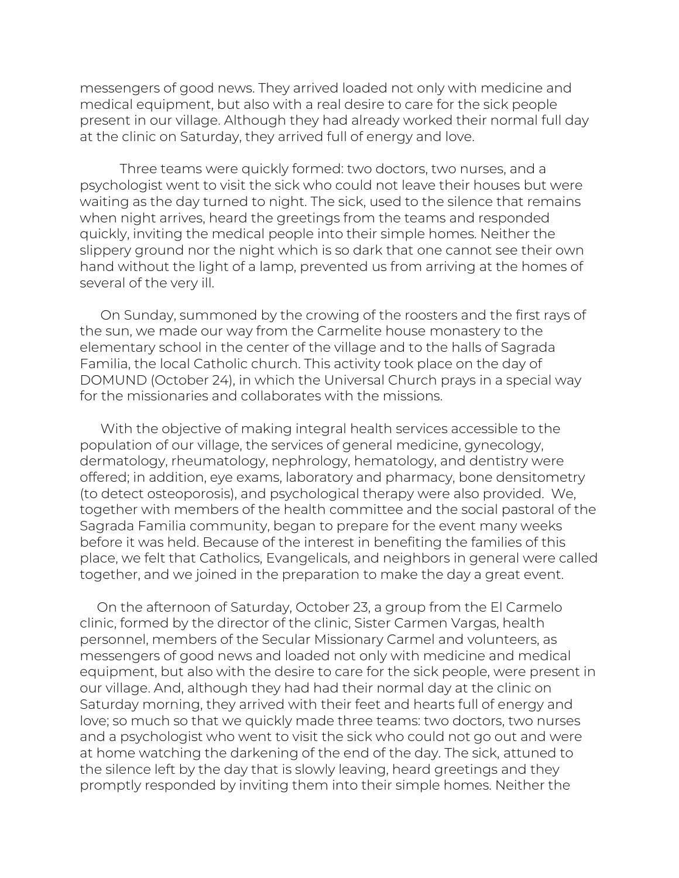messengers of good news. They arrived loaded not only with medicine and medical equipment, but also with a real desire to care for the sick people present in our village. Although they had already worked their normal full day at the clinic on Saturday, they arrived full of energy and love.

Three teams were quickly formed: two doctors, two nurses, and a psychologist went to visit the sick who could not leave their houses but were waiting as the day turned to night. The sick, used to the silence that remains when night arrives, heard the greetings from the teams and responded quickly, inviting the medical people into their simple homes. Neither the slippery ground nor the night which is so dark that one cannot see their own hand without the light of a lamp, prevented us from arriving at the homes of several of the very ill.

 On Sunday, summoned by the crowing of the roosters and the first rays of the sun, we made our way from the Carmelite house monastery to the elementary school in the center of the village and to the halls of Sagrada Familia, the local Catholic church. This activity took place on the day of DOMUND (October 24), in which the Universal Church prays in a special way for the missionaries and collaborates with the missions.

 With the objective of making integral health services accessible to the population of our village, the services of general medicine, gynecology, dermatology, rheumatology, nephrology, hematology, and dentistry were offered; in addition, eye exams, laboratory and pharmacy, bone densitometry (to detect osteoporosis), and psychological therapy were also provided. We, together with members of the health committee and the social pastoral of the Sagrada Familia community, began to prepare for the event many weeks before it was held. Because of the interest in benefiting the families of this place, we felt that Catholics, Evangelicals, and neighbors in general were called together, and we joined in the preparation to make the day a great event.

 On the afternoon of Saturday, October 23, a group from the El Carmelo clinic, formed by the director of the clinic, Sister Carmen Vargas, health personnel, members of the Secular Missionary Carmel and volunteers, as messengers of good news and loaded not only with medicine and medical equipment, but also with the desire to care for the sick people, were present in our village. And, although they had had their normal day at the clinic on Saturday morning, they arrived with their feet and hearts full of energy and love; so much so that we quickly made three teams: two doctors, two nurses and a psychologist who went to visit the sick who could not go out and were at home watching the darkening of the end of the day. The sick, attuned to the silence left by the day that is slowly leaving, heard greetings and they promptly responded by inviting them into their simple homes. Neither the